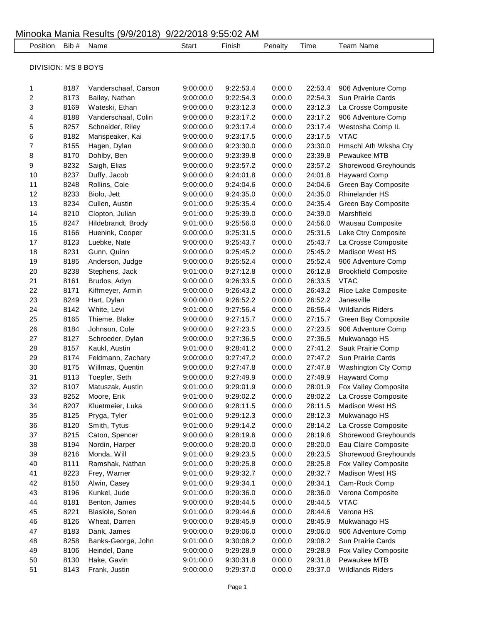|                            |       |                      | JIZZIZUIO JJUJUZ TIII |           |                  |         |                             |  |
|----------------------------|-------|----------------------|-----------------------|-----------|------------------|---------|-----------------------------|--|
| Position                   | Bib # | Name                 | <b>Start</b>          | Finish    | Penalty          | Time    | <b>Team Name</b>            |  |
|                            |       |                      |                       |           |                  |         |                             |  |
| <b>DIVISION: MS 8 BOYS</b> |       |                      |                       |           |                  |         |                             |  |
|                            |       |                      |                       |           |                  |         |                             |  |
| 1                          | 8187  | Vanderschaaf, Carson | 9:00:00.0             | 9:22:53.4 | 0:00.0           | 22:53.4 | 906 Adventure Comp          |  |
| $\overline{\mathbf{c}}$    | 8173  | Bailey, Nathan       | 9:00:00.0             | 9:22:54.3 | 0:00.0           | 22:54.3 | Sun Prairie Cards           |  |
| 3                          | 8169  | Wateski, Ethan       | 9:00:00.0             | 9:23:12.3 | 0:00.0           | 23:12.3 | La Crosse Composite         |  |
| 4                          | 8188  | Vanderschaaf, Colin  | 9:00:00.0             | 9:23:17.2 | 0:00.0           | 23:17.2 | 906 Adventure Comp          |  |
| 5                          | 8257  | Schneider, Riley     | 9:00:00.0             | 9:23:17.4 | 0:00.0           | 23:17.4 | Westosha Comp IL            |  |
| 6                          | 8182  | Manspeaker, Kai      | 9:00:00.0             | 9:23:17.5 | 0:00.0           | 23:17.5 | <b>VTAC</b>                 |  |
| 7                          | 8155  | Hagen, Dylan         | 9:00:00.0             | 9:23:30.0 | 0:00.0           | 23:30.0 | Hmschl Ath Wksha Cty        |  |
| 8                          | 8170  | Dohlby, Ben          | 9:00:00.0             | 9:23:39.8 | 0:00.0           | 23:39.8 | Pewaukee MTB                |  |
| 9                          | 8232  | Saigh, Elias         | 9:00:00.0             | 9:23:57.2 | 0:00.0           | 23:57.2 | Shorewood Greyhounds        |  |
| 10                         | 8237  | Duffy, Jacob         | 9:00:00.0             | 9:24:01.8 | 0:00.0           | 24:01.8 | <b>Hayward Comp</b>         |  |
| 11                         | 8248  | Rollins, Cole        | 9:00:00.0             | 9:24:04.6 | 0:00.0           | 24:04.6 | Green Bay Composite         |  |
| 12                         | 8233  | Biolo, Jett          | 9:00:00.0             | 9:24:35.0 | 0:00.0           | 24:35.0 | <b>Rhinelander HS</b>       |  |
| 13                         | 8234  | Cullen, Austin       | 9:01:00.0             | 9:25:35.4 | 0:00.0           | 24:35.4 | Green Bay Composite         |  |
| 14                         | 8210  | Clopton, Julian      | 9:01:00.0             | 9:25:39.0 | 0:00.0           | 24:39.0 | Marshfield                  |  |
| 15                         | 8247  | Hildebrandt, Brody   | 9:01:00.0             | 9:25:56.0 | 0:00.0           | 24:56.0 | Wausau Composite            |  |
| 16                         | 8166  | Huenink, Cooper      | 9:00:00.0             | 9:25:31.5 | 0:00.0           | 25:31.5 | Lake Ctry Composite         |  |
| 17                         | 8123  | Luebke, Nate         | 9:00:00.0             | 9:25:43.7 | 0:00.0           | 25:43.7 | La Crosse Composite         |  |
| 18                         | 8231  | Gunn, Quinn          |                       | 9:25:45.2 |                  | 25:45.2 | <b>Madison West HS</b>      |  |
| 19                         | 8185  |                      | 9:00:00.0             |           | 0:00.0           | 25:52.4 |                             |  |
| 20                         | 8238  | Anderson, Judge      | 9:00:00.0             | 9:25:52.4 | 0:00.0<br>0:00.0 |         | 906 Adventure Comp          |  |
|                            |       | Stephens, Jack       | 9:01:00.0             | 9:27:12.8 |                  | 26:12.8 | <b>Brookfield Composite</b> |  |
| 21                         | 8161  | Brudos, Adyn         | 9:00:00.0             | 9:26:33.5 | 0:00.0           | 26:33.5 | <b>VTAC</b>                 |  |
| 22                         | 8171  | Kiffmeyer, Armin     | 9:00:00.0             | 9:26:43.2 | 0:00.0           | 26:43.2 | Rice Lake Composite         |  |
| 23                         | 8249  | Hart, Dylan          | 9:00:00.0             | 9:26:52.2 | 0:00.0           | 26:52.2 | Janesville                  |  |
| 24                         | 8142  | White, Levi          | 9:01:00.0             | 9:27:56.4 | 0:00.0           | 26:56.4 | <b>Wildlands Riders</b>     |  |
| 25                         | 8165  | Thieme, Blake        | 9:00:00.0             | 9:27:15.7 | 0:00.0           | 27:15.7 | Green Bay Composite         |  |
| 26                         | 8184  | Johnson, Cole        | 9:00:00.0             | 9:27:23.5 | 0:00.0           | 27:23.5 | 906 Adventure Comp          |  |
| 27                         | 8127  | Schroeder, Dylan     | 9:00:00.0             | 9:27:36.5 | 0:00.0           | 27:36.5 | Mukwanago HS                |  |
| 28                         | 8157  | Kaukl, Austin        | 9:01:00.0             | 9:28:41.2 | 0:00.0           | 27:41.2 | Sauk Prairie Comp           |  |
| 29                         | 8174  | Feldmann, Zachary    | 9:00:00.0             | 9:27:47.2 | 0:00.0           | 27:47.2 | Sun Prairie Cards           |  |
| 30                         | 8175  | Willmas, Quentin     | 9:00:00.0             | 9:27:47.8 | 0:00.0           | 27:47.8 | <b>Washington Cty Comp</b>  |  |
| 31                         | 8113  | Toepfer, Seth        | 9:00:00.0             | 9:27:49.9 | 0:00.0           | 27:49.9 | <b>Hayward Comp</b>         |  |
| 32                         | 8107  | Matuszak, Austin     | 9:01:00.0             | 9:29:01.9 | 0:00.0           | 28:01.9 | Fox Valley Composite        |  |
| 33                         | 8252  | Moore, Erik          | 9:01:00.0             | 9:29:02.2 | 0:00.0           | 28:02.2 | La Crosse Composite         |  |
| 34                         | 8207  | Kluetmeier, Luka     | 9:00:00.0             | 9:28:11.5 | 0:00.0           | 28:11.5 | Madison West HS             |  |
| 35                         | 8125  | Pryga, Tyler         | 9:01:00.0             | 9:29:12.3 | 0:00.0           | 28:12.3 | Mukwanago HS                |  |
| 36                         | 8120  | Smith, Tytus         | 9:01:00.0             | 9:29:14.2 | 0:00.0           | 28:14.2 | La Crosse Composite         |  |
| 37                         | 8215  | Caton, Spencer       | 9:00:00.0             | 9:28:19.6 | 0:00.0           | 28:19.6 | Shorewood Greyhounds        |  |
| 38                         | 8194  | Nordin, Harper       | 9:00:00.0             | 9:28:20.0 | 0:00.0           | 28:20.0 | Eau Claire Composite        |  |
| 39                         | 8216  | Monda, Will          | 9:01:00.0             | 9:29:23.5 | 0:00.0           | 28:23.5 | Shorewood Greyhounds        |  |
| 40                         | 8111  | Ramshak, Nathan      | 9:01:00.0             | 9:29:25.8 | 0:00.0           | 28:25.8 | Fox Valley Composite        |  |
| 41                         | 8223  | Frey, Warner         | 9:01:00.0             | 9:29:32.7 | 0:00.0           | 28:32.7 | <b>Madison West HS</b>      |  |
| 42                         | 8150  | Alwin, Casey         | 9:01:00.0             | 9:29:34.1 | 0:00.0           | 28:34.1 | Cam-Rock Comp               |  |
| 43                         | 8196  | Kunkel, Jude         | 9:01:00.0             | 9:29:36.0 | 0:00.0           | 28:36.0 | Verona Composite            |  |
| 44                         | 8181  | Benton, James        | 9:00:00.0             | 9:28:44.5 | 0:00.0           | 28:44.5 | <b>VTAC</b>                 |  |
| 45                         | 8221  | Blasiole, Soren      | 9:01:00.0             | 9:29:44.6 | 0:00.0           | 28:44.6 | Verona HS                   |  |
| 46                         | 8126  | Wheat, Darren        | 9:00:00.0             | 9:28:45.9 | 0:00.0           | 28:45.9 | Mukwanago HS                |  |
| 47                         | 8183  | Dank, James          | 9:00:00.0             | 9:29:06.0 | 0:00.0           | 29:06.0 | 906 Adventure Comp          |  |
| 48                         | 8258  | Banks-George, John   | 9:01:00.0             | 9:30:08.2 | 0:00.0           | 29:08.2 | Sun Prairie Cards           |  |
| 49                         | 8106  | Heindel, Dane        | 9:00:00.0             | 9:29:28.9 | 0:00.0           | 29:28.9 | Fox Valley Composite        |  |
| 50                         | 8130  | Hake, Gavin          | 9:01:00.0             | 9:30:31.8 | 0:00.0           | 29:31.8 | Pewaukee MTB                |  |
| 51                         | 8143  | Frank, Justin        | 9:00:00.0             | 9:29:37.0 | 0:00.0           | 29:37.0 | <b>Wildlands Riders</b>     |  |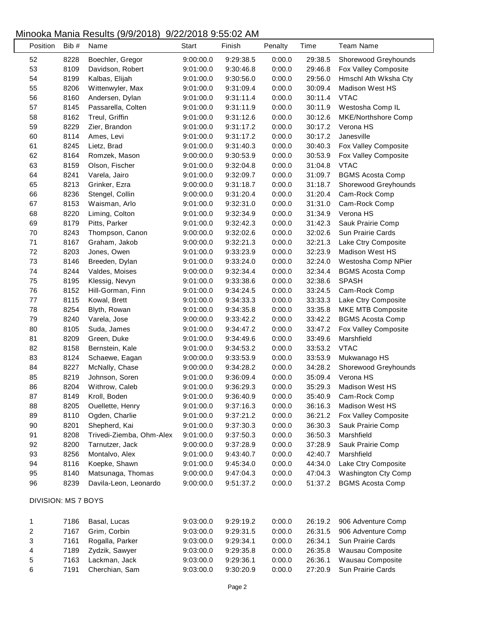| Position            | Bib # | Name                     | <b>Start</b> | Finish    | Penalty | Time    | <b>Team Name</b>         |
|---------------------|-------|--------------------------|--------------|-----------|---------|---------|--------------------------|
| 52                  | 8228  | Boechler, Gregor         | 9:00:00.0    | 9:29:38.5 | 0:00.0  | 29:38.5 | Shorewood Greyhounds     |
| 53                  | 8109  | Davidson, Robert         | 9:01:00.0    | 9:30:46.8 | 0:00.0  | 29:46.8 | Fox Valley Composite     |
| 54                  | 8199  | Kalbas, Elijah           | 9:01:00.0    | 9:30:56.0 | 0:00.0  | 29:56.0 | Hmschl Ath Wksha Cty     |
| 55                  | 8206  | Wittenwyler, Max         | 9:01:00.0    | 9:31:09.4 | 0:00.0  | 30:09.4 | Madison West HS          |
| 56                  | 8160  | Andersen, Dylan          | 9:01:00.0    | 9:31:11.4 | 0:00.0  | 30:11.4 | <b>VTAC</b>              |
| 57                  | 8145  | Passarella, Colten       | 9:01:00.0    | 9:31:11.9 | 0:00.0  | 30:11.9 | Westosha Comp IL         |
| 58                  | 8162  | Treul, Griffin           | 9:01:00.0    | 9:31:12.6 | 0:00.0  | 30:12.6 | MKE/Northshore Comp      |
| 59                  | 8229  | Zier, Brandon            | 9:01:00.0    | 9:31:17.2 | 0:00.0  | 30:17.2 | Verona HS                |
| 60                  | 8114  | Ames, Levi               | 9:01:00.0    | 9:31:17.2 | 0:00.0  | 30:17.2 | Janesville               |
| 61                  | 8245  | Lietz, Brad              | 9:01:00.0    | 9:31:40.3 | 0:00.0  | 30:40.3 | Fox Valley Composite     |
| 62                  | 8164  | Romzek, Mason            | 9:00:00.0    | 9:30:53.9 | 0:00.0  | 30:53.9 | Fox Valley Composite     |
| 63                  | 8159  | Olson, Fischer           | 9:01:00.0    | 9:32:04.8 | 0:00.0  | 31:04.8 | <b>VTAC</b>              |
| 64                  | 8241  | Varela, Jairo            | 9:01:00.0    | 9:32:09.7 | 0:00.0  | 31:09.7 | <b>BGMS Acosta Comp</b>  |
| 65                  | 8213  | Grinker, Ezra            | 9:00:00.0    | 9:31:18.7 | 0:00.0  | 31:18.7 | Shorewood Greyhounds     |
| 66                  | 8236  | Stengel, Collin          | 9:00:00.0    | 9:31:20.4 | 0:00.0  | 31:20.4 | Cam-Rock Comp            |
| 67                  | 8153  | Waisman, Arlo            | 9:01:00.0    | 9:32:31.0 | 0:00.0  | 31:31.0 | Cam-Rock Comp            |
| 68                  | 8220  | Liming, Colton           | 9:01:00.0    | 9:32:34.9 | 0:00.0  | 31:34.9 | Verona HS                |
| 69                  | 8179  | Pitts, Parker            | 9:01:00.0    | 9:32:42.3 | 0:00.0  | 31:42.3 | Sauk Prairie Comp        |
| 70                  | 8243  | Thompson, Canon          | 9:00:00.0    | 9:32:02.6 | 0:00.0  | 32:02.6 | Sun Prairie Cards        |
| 71                  | 8167  | Graham, Jakob            | 9:00:00.0    | 9:32:21.3 | 0:00.0  | 32:21.3 | Lake Ctry Composite      |
| 72                  | 8203  | Jones, Owen              | 9:01:00.0    | 9:33:23.9 | 0:00.0  | 32:23.9 | <b>Madison West HS</b>   |
| 73                  | 8146  | Breeden, Dylan           | 9:01:00.0    | 9:33:24.0 | 0:00.0  | 32:24.0 | Westosha Comp NPier      |
| 74                  | 8244  | Valdes, Moises           | 9:00:00.0    | 9:32:34.4 | 0:00.0  | 32:34.4 | <b>BGMS Acosta Comp</b>  |
| 75                  | 8195  | Klessig, Nevyn           | 9:01:00.0    | 9:33:38.6 | 0:00.0  | 32:38.6 | <b>SPASH</b>             |
| 76                  | 8152  | Hill-Gorman, Finn        | 9:01:00.0    | 9:34:24.5 | 0:00.0  | 33:24.5 | Cam-Rock Comp            |
| $77 \,$             | 8115  | Kowal, Brett             | 9:01:00.0    | 9:34:33.3 | 0:00.0  | 33:33.3 | Lake Ctry Composite      |
| 78                  | 8254  | Blyth, Rowan             | 9:01:00.0    | 9:34:35.8 | 0:00.0  | 33:35.8 | <b>MKE MTB Composite</b> |
| 79                  | 8240  | Varela, Jose             | 9:00:00.0    | 9:33:42.2 | 0:00.0  | 33:42.2 | <b>BGMS Acosta Comp</b>  |
| 80                  | 8105  | Suda, James              | 9:01:00.0    | 9:34:47.2 | 0:00.0  | 33:47.2 | Fox Valley Composite     |
| 81                  | 8209  | Green, Duke              | 9:01:00.0    | 9:34:49.6 | 0:00.0  | 33:49.6 | Marshfield               |
| 82                  | 8158  | Bernstein, Kale          | 9:01:00.0    | 9:34:53.2 | 0:00.0  | 33:53.2 | <b>VTAC</b>              |
| 83                  | 8124  | Schaewe, Eagan           | 9:00:00.0    | 9:33:53.9 | 0:00.0  | 33:53.9 | Mukwanago HS             |
| 84                  | 8227  | McNally, Chase           | 9:00:00.0    | 9:34:28.2 | 0:00.0  | 34:28.2 | Shorewood Greyhounds     |
| 85                  | 8219  | Johnson, Soren           | 9:01:00.0    | 9:36:09.4 | 0:00.0  | 35:09.4 | Verona HS                |
| 86                  | 8204  | Withrow, Caleb           | 9:01:00.0    | 9:36:29.3 | 0:00.0  | 35:29.3 | Madison West HS          |
| 87                  | 8149  | Kroll, Boden             | 9:01:00.0    | 9:36:40.9 | 0:00.0  | 35:40.9 | Cam-Rock Comp            |
| 88                  | 8205  | Ouellette, Henry         | 9:01:00.0    | 9:37:16.3 | 0:00.0  | 36:16.3 | Madison West HS          |
| 89                  | 8110  | Ogden, Charlie           | 9:01:00.0    | 9:37:21.2 | 0:00.0  | 36:21.2 | Fox Valley Composite     |
| 90                  | 8201  | Shepherd, Kai            | 9:01:00.0    | 9:37:30.3 | 0:00.0  | 36:30.3 | Sauk Prairie Comp        |
| 91                  | 8208  | Trivedi-Ziemba, Ohm-Alex | 9:01:00.0    | 9:37:50.3 | 0:00.0  | 36:50.3 | Marshfield               |
| 92                  | 8200  | Tarnutzer, Jack          | 9:00:00.0    | 9:37:28.9 | 0:00.0  | 37:28.9 | Sauk Prairie Comp        |
| 93                  | 8256  | Montalvo, Alex           | 9:01:00.0    | 9:43:40.7 | 0:00.0  | 42:40.7 | Marshfield               |
| 94                  | 8116  | Koepke, Shawn            | 9:01:00.0    | 9:45:34.0 | 0:00.0  | 44:34.0 | Lake Ctry Composite      |
| 95                  | 8140  | Matsunaga, Thomas        | 9:00:00.0    | 9:47:04.3 | 0:00.0  | 47:04.3 | Washington Cty Comp      |
| 96                  | 8239  | Davila-Leon, Leonardo    | 9:00:00.0    | 9:51:37.2 | 0:00.0  | 51:37.2 | <b>BGMS Acosta Comp</b>  |
|                     |       |                          |              |           |         |         |                          |
| DIVISION: MS 7 BOYS |       |                          |              |           |         |         |                          |
| 1                   | 7186  | Basal, Lucas             | 9:03:00.0    | 9:29:19.2 | 0:00.0  | 26:19.2 | 906 Adventure Comp       |
| 2                   | 7167  | Grim, Corbin             | 9:03:00.0    | 9:29:31.5 | 0:00.0  | 26:31.5 | 906 Adventure Comp       |
| 3                   | 7161  | Rogalla, Parker          | 9:03:00.0    | 9:29:34.1 | 0:00.0  | 26:34.1 | Sun Prairie Cards        |
| 4                   | 7189  | Zydzik, Sawyer           | 9:03:00.0    | 9:29:35.8 | 0:00.0  | 26:35.8 | Wausau Composite         |
| 5                   | 7163  | Lackman, Jack            | 9:03:00.0    | 9:29:36.1 | 0:00.0  | 26:36.1 | Wausau Composite         |
| 6                   | 7191  | Cherchian, Sam           | 9:03:00.0    | 9:30:20.9 | 0:00.0  | 27:20.9 | Sun Prairie Cards        |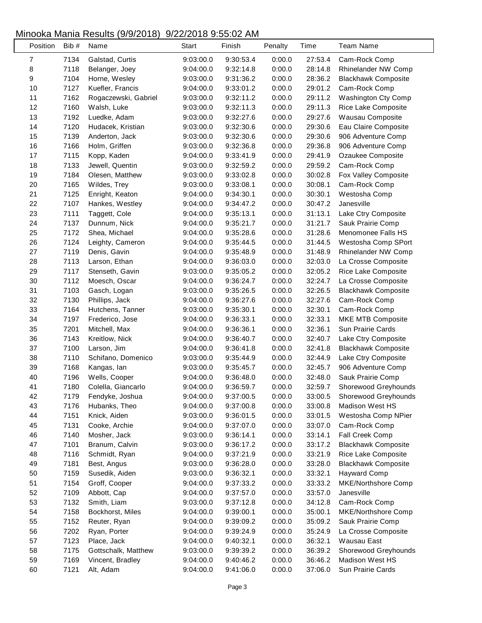| Position | Bib # | Name                 | Start     | Finish    | Penalty | Time    | <b>Team Name</b>           |
|----------|-------|----------------------|-----------|-----------|---------|---------|----------------------------|
| 7        | 7134  | Galstad, Curtis      | 9:03:00.0 | 9:30:53.4 | 0:00.0  | 27:53.4 | Cam-Rock Comp              |
| 8        | 7118  | Belanger, Joey       | 9:04:00.0 | 9:32:14.8 | 0:00.0  | 28:14.8 | Rhinelander NW Comp        |
| 9        | 7104  | Horne, Wesley        | 9:03:00.0 | 9:31:36.2 | 0:00.0  | 28:36.2 | <b>Blackhawk Composite</b> |
| 10       | 7127  | Kuefler, Francis     | 9:04:00.0 | 9:33:01.2 | 0:00.0  | 29:01.2 | Cam-Rock Comp              |
| 11       | 7162  | Rogaczewski, Gabriel | 9:03:00.0 | 9:32:11.2 | 0:00.0  | 29:11.2 | Washington Cty Comp        |
| 12       | 7160  | Walsh, Luke          | 9:03:00.0 | 9:32:11.3 | 0:00.0  | 29:11.3 | Rice Lake Composite        |
| 13       | 7192  | Luedke, Adam         | 9:03:00.0 | 9:32:27.6 | 0:00.0  | 29:27.6 | Wausau Composite           |
| 14       | 7120  | Hudacek, Kristian    | 9:03:00.0 | 9:32:30.6 | 0:00.0  | 29:30.6 | Eau Claire Composite       |
| 15       | 7139  | Anderton, Jack       | 9:03:00.0 | 9:32:30.6 | 0:00.0  | 29:30.6 | 906 Adventure Comp         |
| 16       | 7166  | Holm, Griffen        | 9:03:00.0 | 9:32:36.8 | 0:00.0  | 29:36.8 | 906 Adventure Comp         |
| 17       | 7115  | Kopp, Kaden          | 9:04:00.0 | 9:33:41.9 | 0:00.0  | 29:41.9 | Ozaukee Composite          |
| 18       | 7133  | Jewell, Quentin      | 9:03:00.0 | 9:32:59.2 | 0:00.0  | 29:59.2 | Cam-Rock Comp              |
| 19       | 7184  | Olesen, Matthew      | 9:03:00.0 | 9:33:02.8 | 0:00.0  | 30:02.8 | Fox Valley Composite       |
| 20       | 7165  | Wildes, Trey         | 9:03:00.0 | 9:33:08.1 | 0:00.0  | 30:08.1 | Cam-Rock Comp              |
| 21       | 7125  | Enright, Keaton      | 9:04:00.0 | 9:34:30.1 | 0:00.0  | 30:30.1 | Westosha Comp              |
| 22       | 7107  | Hankes, Westley      | 9:04:00.0 | 9:34:47.2 | 0:00.0  | 30:47.2 | Janesville                 |
| 23       | 7111  | Taggett, Cole        | 9:04:00.0 | 9:35:13.1 | 0:00.0  | 31:13.1 | Lake Ctry Composite        |
| 24       | 7137  | Dunnum, Nick         | 9:04:00.0 | 9:35:21.7 | 0:00.0  | 31:21.7 | Sauk Prairie Comp          |
| 25       | 7172  | Shea, Michael        | 9:04:00.0 | 9:35:28.6 | 0:00.0  | 31:28.6 | Menomonee Falls HS         |
| 26       | 7124  | Leighty, Cameron     | 9:04:00.0 | 9:35:44.5 | 0:00.0  | 31:44.5 | Westosha Comp SPort        |
| 27       | 7119  | Denis, Gavin         | 9:04:00.0 | 9:35:48.9 | 0:00.0  | 31:48.9 | Rhinelander NW Comp        |
| 28       | 7113  | Larson, Ethan        | 9:04:00.0 | 9:36:03.0 | 0:00.0  | 32:03.0 | La Crosse Composite        |
| 29       | 7117  | Stenseth, Gavin      | 9:03:00.0 | 9:35:05.2 | 0:00.0  | 32:05.2 | Rice Lake Composite        |
| 30       | 7112  | Moesch, Oscar        | 9:04:00.0 | 9:36:24.7 | 0:00.0  | 32:24.7 | La Crosse Composite        |
| 31       | 7103  | Gasch, Logan         | 9:03:00.0 | 9:35:26.5 | 0:00.0  | 32:26.5 | <b>Blackhawk Composite</b> |
| 32       | 7130  | Phillips, Jack       | 9:04:00.0 | 9:36:27.6 | 0:00.0  | 32:27.6 | Cam-Rock Comp              |
| 33       | 7164  | Hutchens, Tanner     | 9:03:00.0 | 9:35:30.1 | 0:00.0  | 32:30.1 | Cam-Rock Comp              |
| 34       | 7197  | Frederico, Jose      | 9:04:00.0 | 9:36:33.1 | 0:00.0  | 32:33.1 | MKE MTB Composite          |
| 35       | 7201  | Mitchell, Max        | 9:04:00.0 | 9:36:36.1 | 0:00.0  | 32:36.1 | Sun Prairie Cards          |
| 36       | 7143  | Kreitlow, Nick       | 9:04:00.0 | 9:36:40.7 | 0:00.0  | 32:40.7 | Lake Ctry Composite        |
| 37       | 7100  | Larson, Jim          | 9:04:00.0 | 9:36:41.8 | 0:00.0  | 32:41.8 | <b>Blackhawk Composite</b> |
| 38       | 7110  | Schifano, Domenico   | 9:03:00.0 | 9:35:44.9 | 0:00.0  | 32:44.9 | Lake Ctry Composite        |
| 39       | 7168  | Kangas, lan          | 9:03:00.0 | 9:35:45.7 | 0:00.0  | 32:45.7 | 906 Adventure Comp         |
| 40       | 7196  | Wells, Cooper        | 9:04:00.0 | 9:36:48.0 | 0:00.0  | 32:48.0 | Sauk Prairie Comp          |
| 41       | 7180  | Colella, Giancarlo   | 9:04:00.0 | 9:36:59.7 | 0:00.0  | 32:59.7 | Shorewood Greyhounds       |
| 42       | 7179  | Fendyke, Joshua      | 9:04:00.0 | 9:37:00.5 | 0:00.0  | 33:00.5 | Shorewood Greyhounds       |
| 43       | 7176  | Hubanks, Theo        | 9:04:00.0 | 9:37:00.8 | 0:00.0  | 33:00.8 | Madison West HS            |
| 44       | 7151  | Knick, Aiden         | 9:03:00.0 | 9:36:01.5 | 0:00.0  | 33:01.5 | Westosha Comp NPier        |
| 45       | 7131  | Cooke, Archie        | 9:04:00.0 | 9:37:07.0 | 0:00.0  | 33:07.0 | Cam-Rock Comp              |
| 46       | 7140  | Mosher, Jack         | 9:03:00.0 | 9:36:14.1 | 0:00.0  | 33:14.1 | Fall Creek Comp            |
| 47       | 7101  | Branum, Calvin       | 9:03:00.0 | 9:36:17.2 | 0:00.0  | 33:17.2 | <b>Blackhawk Composite</b> |
| 48       | 7116  | Schmidt, Ryan        | 9:04:00.0 | 9:37:21.9 | 0:00.0  | 33:21.9 | Rice Lake Composite        |
| 49       | 7181  | Best, Angus          | 9:03:00.0 | 9:36:28.0 | 0:00.0  | 33:28.0 | <b>Blackhawk Composite</b> |
| 50       | 7159  | Susedik, Aiden       | 9:03:00.0 | 9:36:32.1 | 0:00.0  |         |                            |
|          |       |                      |           |           |         | 33:32.1 | <b>Hayward Comp</b>        |
| 51       | 7154  | Groff, Cooper        | 9:04:00.0 | 9:37:33.2 | 0:00.0  | 33:33.2 | MKE/Northshore Comp        |
| 52       | 7109  | Abbott, Cap          | 9:04:00.0 | 9:37:57.0 | 0:00.0  | 33:57.0 | Janesville                 |
| 53       | 7132  | Smith, Liam          | 9:03:00.0 | 9:37:12.8 | 0:00.0  | 34:12.8 | Cam-Rock Comp              |
| 54       | 7158  | Bockhorst, Miles     | 9:04:00.0 | 9:39:00.1 | 0:00.0  | 35:00.1 | MKE/Northshore Comp        |
| 55       | 7152  | Reuter, Ryan         | 9:04:00.0 | 9:39:09.2 | 0:00.0  | 35:09.2 | Sauk Prairie Comp          |
| 56       | 7202  | Ryan, Porter         | 9:04:00.0 | 9:39:24.9 | 0:00.0  | 35:24.9 | La Crosse Composite        |
| 57       | 7123  | Place, Jack          | 9:04:00.0 | 9:40:32.1 | 0:00.0  | 36:32.1 | Wausau East                |
| 58       | 7175  | Gottschalk, Matthew  | 9:03:00.0 | 9:39:39.2 | 0:00.0  | 36:39.2 | Shorewood Greyhounds       |
| 59       | 7169  | Vincent, Bradley     | 9:04:00.0 | 9:40:46.2 | 0:00.0  | 36:46.2 | Madison West HS            |
| 60       | 7121  | Alt, Adam            | 9:04:00.0 | 9:41:06.0 | 0:00.0  | 37:06.0 | Sun Prairie Cards          |